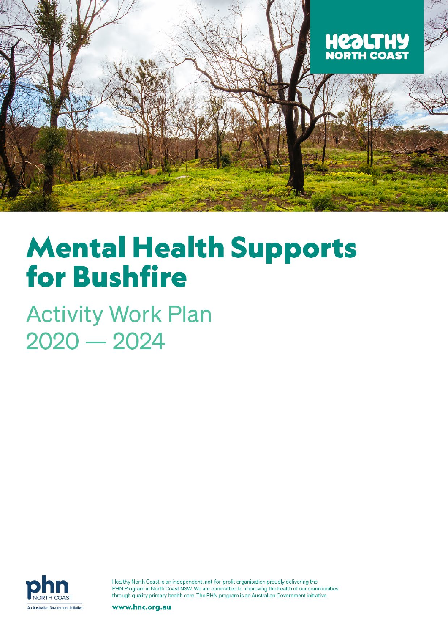

# **Mental Health Supports for Bushfire**

**Activity Work Plan**  $2020 - 2024$ 



Healthy North Coast is an independent, not-for-profit organisation proudly delivering the PHN Program in North Coast NSW. We are committed to improving the health of our communities through quality primary health care. The PHN program is an Australian Government initiative.

www.hnc.org.au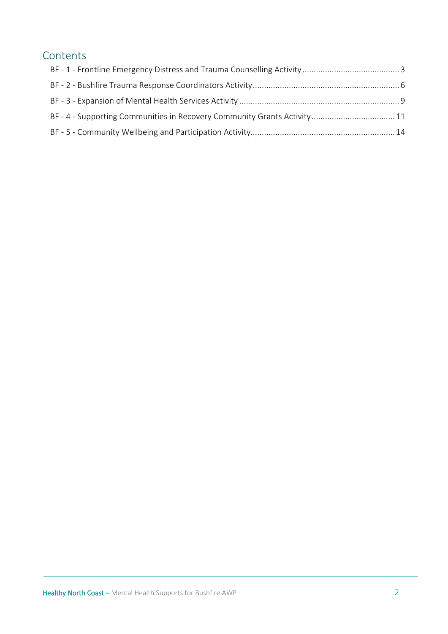# Contents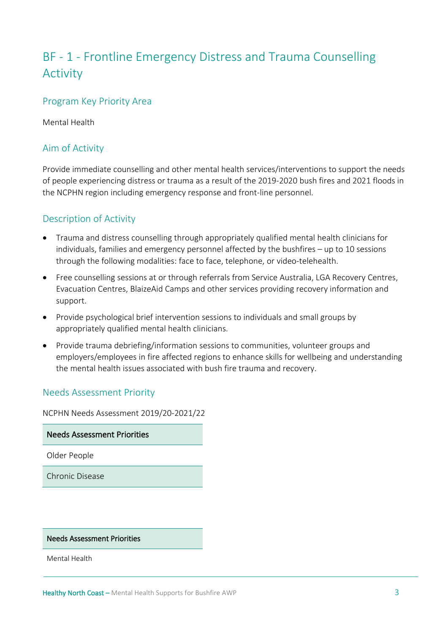# <span id="page-2-0"></span>BF - 1 - Frontline Emergency Distress and Trauma Counselling Activity

## Program Key Priority Area

Mental Health

# Aim of Activity

Provide immediate counselling and other mental health services/interventions to support the needs of people experiencing distress or trauma as a result of the 2019-2020 bush fires and 2021 floods in the NCPHN region including emergency response and front-line personnel.

## Description of Activity

- Trauma and distress counselling through appropriately qualified mental health clinicians for individuals, families and emergency personnel affected by the bushfires – up to 10 sessions through the following modalities: face to face, telephone, or video-telehealth.
- Free counselling sessions at or through referrals from Service Australia, LGA Recovery Centres, Evacuation Centres, BlaizeAid Camps and other services providing recovery information and support.
- Provide psychological brief intervention sessions to individuals and small groups by appropriately qualified mental health clinicians.
- Provide trauma debriefing/information sessions to communities, volunteer groups and employers/employees in fire affected regions to enhance skills for wellbeing and understanding the mental health issues associated with bush fire trauma and recovery.

#### Needs Assessment Priority

NCPHN Needs Assessment 2019/20-2021/22

Needs Assessment Priorities

Older People

Chronic Disease

Needs Assessment Priorities

Mental Health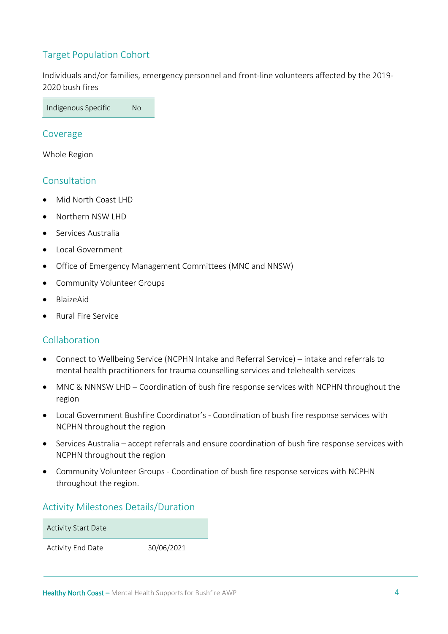# Target Population Cohort

Individuals and/or families, emergency personnel and front-line volunteers affected by the 2019- 2020 bush fires

Indigenous Specific No

#### Coverage

Whole Region

#### **Consultation**

- Mid North Coast LHD
- Northern NSW LHD
- Services Australia
- Local Government
- Office of Emergency Management Committees (MNC and NNSW)
- Community Volunteer Groups
- BlaizeAid
- Rural Fire Service

#### Collaboration

- Connect to Wellbeing Service (NCPHN Intake and Referral Service) intake and referrals to mental health practitioners for trauma counselling services and telehealth services
- MNC & NNNSW LHD Coordination of bush fire response services with NCPHN throughout the region
- Local Government Bushfire Coordinator's Coordination of bush fire response services with NCPHN throughout the region
- Services Australia accept referrals and ensure coordination of bush fire response services with NCPHN throughout the region
- Community Volunteer Groups Coordination of bush fire response services with NCPHN throughout the region.

#### Activity Milestones Details/Duration

Activity Start Date

Activity End Date 30/06/2021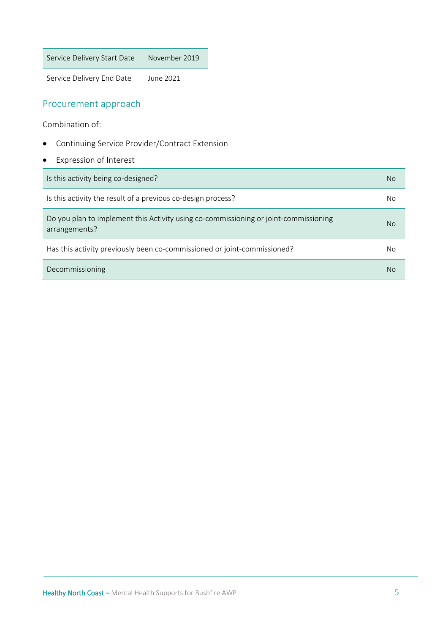Service Delivery Start Date November 2019

Service Delivery End Date June 2021

## Procurement approach

Combination of:

- Continuing Service Provider/Contract Extension
- Expression of Interest

| Is this activity being co-designed?                                                                   | No |
|-------------------------------------------------------------------------------------------------------|----|
| Is this activity the result of a previous co-design process?                                          | No |
| Do you plan to implement this Activity using co-commissioning or joint-commissioning<br>arrangements? | No |
| Has this activity previously been co-commissioned or joint-commissioned?                              | No |
| Decommissioning                                                                                       | No |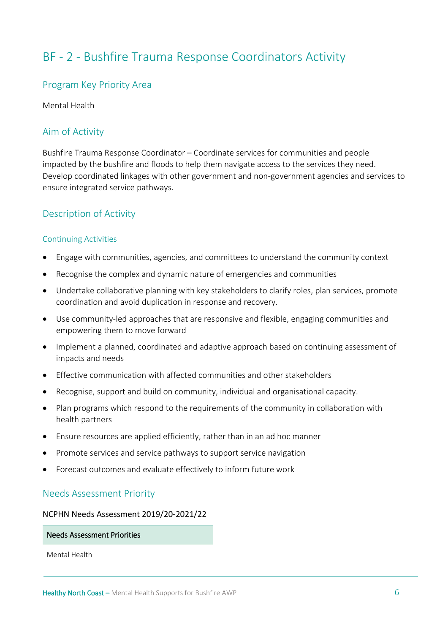# <span id="page-5-0"></span>BF - 2 - Bushfire Trauma Response Coordinators Activity

#### Program Key Priority Area

Mental Health

# Aim of Activity

Bushfire Trauma Response Coordinator – Coordinate services for communities and people impacted by the bushfire and floods to help them navigate access to the services they need. Develop coordinated linkages with other government and non-government agencies and services to ensure integrated service pathways.

#### Description of Activity

#### Continuing Activities

- Engage with communities, agencies, and committees to understand the community context
- Recognise the complex and dynamic nature of emergencies and communities
- Undertake collaborative planning with key stakeholders to clarify roles, plan services, promote coordination and avoid duplication in response and recovery.
- Use community-led approaches that are responsive and flexible, engaging communities and empowering them to move forward
- Implement a planned, coordinated and adaptive approach based on continuing assessment of impacts and needs
- Effective communication with affected communities and other stakeholders
- Recognise, support and build on community, individual and organisational capacity.
- Plan programs which respond to the requirements of the community in collaboration with health partners
- Ensure resources are applied efficiently, rather than in an ad hoc manner
- Promote services and service pathways to support service navigation
- Forecast outcomes and evaluate effectively to inform future work

#### Needs Assessment Priority

#### NCPHN Needs Assessment 2019/20-2021/22

#### Needs Assessment Priorities

Mental Health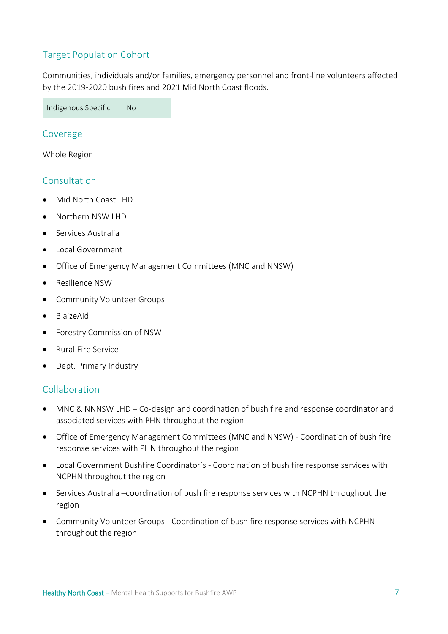# Target Population Cohort

Communities, individuals and/or families, emergency personnel and front-line volunteers affected by the 2019-2020 bush fires and 2021 Mid North Coast floods.

Indigenous Specific No

#### Coverage

Whole Region

#### **Consultation**

- Mid North Coast LHD
- Northern NSW LHD
- Services Australia
- Local Government
- Office of Emergency Management Committees (MNC and NNSW)
- Resilience NSW
- Community Volunteer Groups
- BlaizeAid
- Forestry Commission of NSW
- Rural Fire Service
- Dept. Primary Industry

#### Collaboration

- MNC & NNNSW LHD Co-design and coordination of bush fire and response coordinator and associated services with PHN throughout the region
- Office of Emergency Management Committees (MNC and NNSW) Coordination of bush fire response services with PHN throughout the region
- Local Government Bushfire Coordinator's Coordination of bush fire response services with NCPHN throughout the region
- Services Australia –coordination of bush fire response services with NCPHN throughout the region
- Community Volunteer Groups Coordination of bush fire response services with NCPHN throughout the region.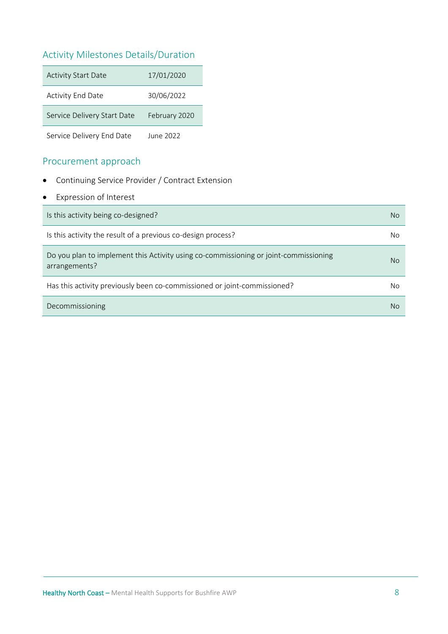# Activity Milestones Details/Duration

| <b>Activity Start Date</b>  | 17/01/2020    |
|-----------------------------|---------------|
| <b>Activity End Date</b>    | 30/06/2022    |
| Service Delivery Start Date | February 2020 |
| Service Delivery End Date   | June 2022     |

## Procurement approach

- Continuing Service Provider / Contract Extension
- Expression of Interest

| Is this activity being co-designed?                                                                   | No. |
|-------------------------------------------------------------------------------------------------------|-----|
| Is this activity the result of a previous co-design process?                                          | No  |
| Do you plan to implement this Activity using co-commissioning or joint-commissioning<br>arrangements? | No. |
| Has this activity previously been co-commissioned or joint-commissioned?                              | No  |
| Decommissioning                                                                                       | No  |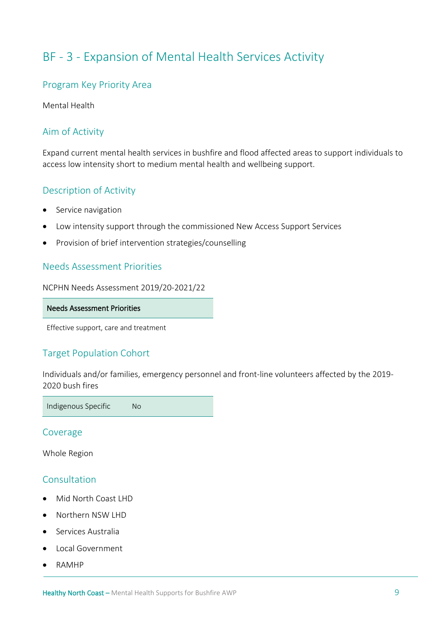# <span id="page-8-0"></span>BF - 3 - Expansion of Mental Health Services Activity

#### Program Key Priority Area

Mental Health

# Aim of Activity

Expand current mental health services in bushfire and flood affected areas to support individuals to access low intensity short to medium mental health and wellbeing support.

## Description of Activity

- Service navigation
- Low intensity support through the commissioned New Access Support Services
- Provision of brief intervention strategies/counselling

#### Needs Assessment Priorities

NCPHN Needs Assessment 2019/20-2021/22

#### Needs Assessment Priorities

Effective support, care and treatment

# Target Population Cohort

Individuals and/or families, emergency personnel and front-line volunteers affected by the 2019- 2020 bush fires

Indigenous Specific No

Coverage

Whole Region

#### Consultation

- Mid North Coast LHD
- Northern NSW LHD
- Services Australia
- Local Government
- RAMHP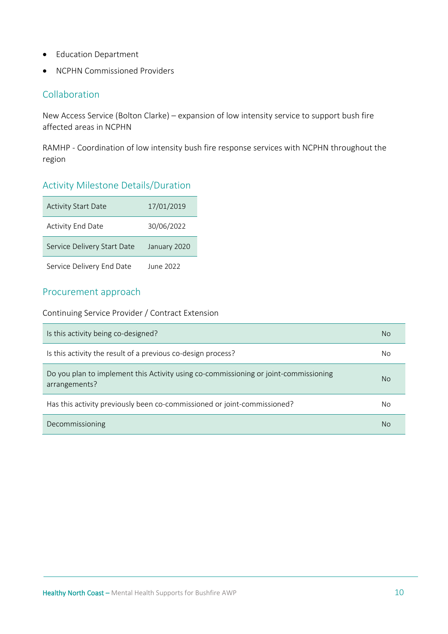- Education Department
- NCPHN Commissioned Providers

## Collaboration

New Access Service (Bolton Clarke) – expansion of low intensity service to support bush fire affected areas in NCPHN

RAMHP - Coordination of low intensity bush fire response services with NCPHN throughout the region

## Activity Milestone Details/Duration

| <b>Activity Start Date</b>  | 17/01/2019   |
|-----------------------------|--------------|
| <b>Activity End Date</b>    | 30/06/2022   |
| Service Delivery Start Date | January 2020 |
| Service Delivery End Date   | June 2022    |

#### Procurement approach

Continuing Service Provider / Contract Extension

| Is this activity being co-designed?                                                                   | No |
|-------------------------------------------------------------------------------------------------------|----|
| Is this activity the result of a previous co-design process?                                          | No |
| Do you plan to implement this Activity using co-commissioning or joint-commissioning<br>arrangements? | No |
| Has this activity previously been co-commissioned or joint-commissioned?                              | No |
| Decommissioning                                                                                       | No |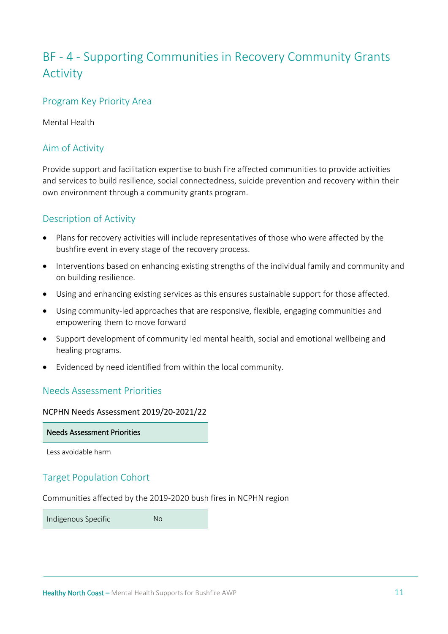# <span id="page-10-0"></span>BF - 4 - Supporting Communities in Recovery Community Grants Activity

#### Program Key Priority Area

Mental Health

## Aim of Activity

Provide support and facilitation expertise to bush fire affected communities to provide activities and services to build resilience, social connectedness, suicide prevention and recovery within their own environment through a community grants program.

# Description of Activity

- Plans for recovery activities will include representatives of those who were affected by the bushfire event in every stage of the recovery process.
- Interventions based on enhancing existing strengths of the individual family and community and on building resilience.
- Using and enhancing existing services as this ensures sustainable support for those affected.
- Using community-led approaches that are responsive, flexible, engaging communities and empowering them to move forward
- Support development of community led mental health, social and emotional wellbeing and healing programs.
- Evidenced by need identified from within the local community.

# Needs Assessment Priorities

NCPHN Needs Assessment 2019/20-2021/22

Needs Assessment Priorities

Less avoidable harm

# Target Population Cohort

Communities affected by the 2019-2020 bush fires in NCPHN region

Indigenous Specific No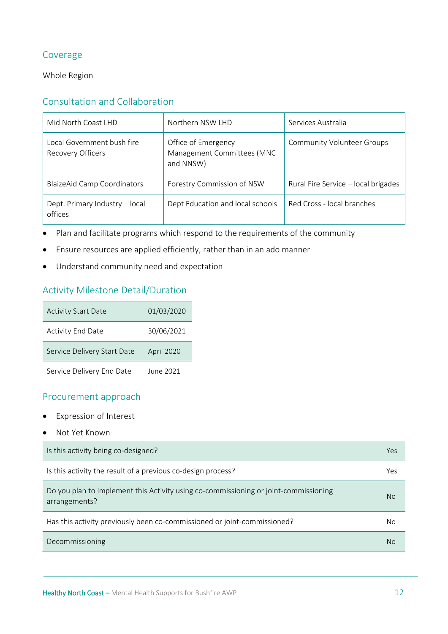# Coverage

#### Whole Region

# Consultation and Collaboration

| Mid North Coast LHD                                    | Northern NSW LHD                                               | Services Australia                  |
|--------------------------------------------------------|----------------------------------------------------------------|-------------------------------------|
| Local Government bush fire<br><b>Recovery Officers</b> | Office of Emergency<br>Management Committees (MNC<br>and NNSW) | <b>Community Volunteer Groups</b>   |
| <b>BlaizeAid Camp Coordinators</b>                     | Forestry Commission of NSW                                     | Rural Fire Service - local brigades |
| Dept. Primary Industry - local<br>offices              | Dept Education and local schools                               | Red Cross - local branches          |

- Plan and facilitate programs which respond to the requirements of the community
- Ensure resources are applied efficiently, rather than in an ado manner
- Understand community need and expectation

# Activity Milestone Detail/Duration

| <b>Activity Start Date</b>  | 01/03/2020 |
|-----------------------------|------------|
| <b>Activity End Date</b>    | 30/06/2021 |
| Service Delivery Start Date | April 2020 |
| Service Delivery End Date   | June 2021  |

#### Procurement approach

- Expression of Interest
- Not Yet Known

| Is this activity being co-designed?                                                                   | Yes |
|-------------------------------------------------------------------------------------------------------|-----|
| Is this activity the result of a previous co-design process?                                          | Yes |
| Do you plan to implement this Activity using co-commissioning or joint-commissioning<br>arrangements? | No  |
| Has this activity previously been co-commissioned or joint-commissioned?                              | No  |
| Decommissioning                                                                                       | No  |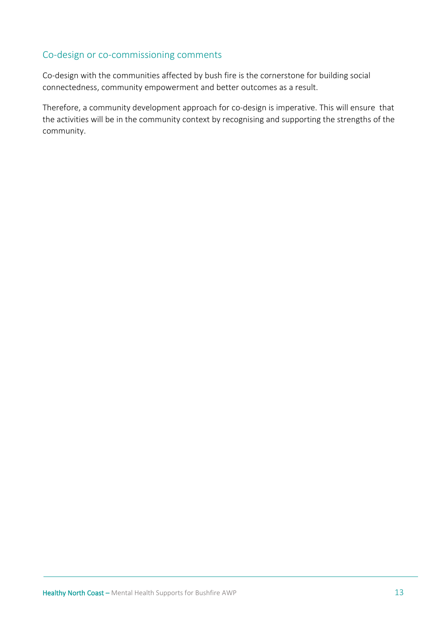# Co-design or co-commissioning comments

Co-design with the communities affected by bush fire is the cornerstone for building social connectedness, community empowerment and better outcomes as a result.

Therefore, a community development approach for co-design is imperative. This will ensure that the activities will be in the community context by recognising and supporting the strengths of the community.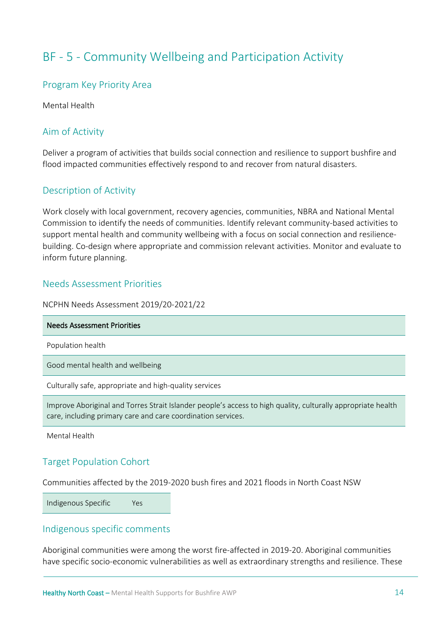# <span id="page-13-0"></span>BF - 5 - Community Wellbeing and Participation Activity

#### Program Key Priority Area

Mental Health

## Aim of Activity

Deliver a program of activities that builds social connection and resilience to support bushfire and flood impacted communities effectively respond to and recover from natural disasters.

#### Description of Activity

Work closely with local government, recovery agencies, communities, NBRA and National Mental Commission to identify the needs of communities. Identify relevant community-based activities to support mental health and community wellbeing with a focus on social connection and resiliencebuilding. Co-design where appropriate and commission relevant activities. Monitor and evaluate to inform future planning.

#### Needs Assessment Priorities

NCPHN Needs Assessment 2019/20-2021/22

| <b>Needs Assessment Priorities</b>                                                                           |
|--------------------------------------------------------------------------------------------------------------|
| Population health                                                                                            |
| Good mental health and wellbeing                                                                             |
| Culturally safe, appropriate and high-quality services                                                       |
| Improve Aboriginal and Torres Strait Islander people's access to high quality, culturally appropriate health |

Mental Health

#### Target Population Cohort

Communities affected by the 2019-2020 bush fires and 2021 floods in North Coast NSW

Indigenous Specific Yes

#### Indigenous specific comments

Aboriginal communities were among the worst fire-affected in 2019-20. Aboriginal communities have specific socio-economic vulnerabilities as well as extraordinary strengths and resilience. These

care, including primary care and care coordination services.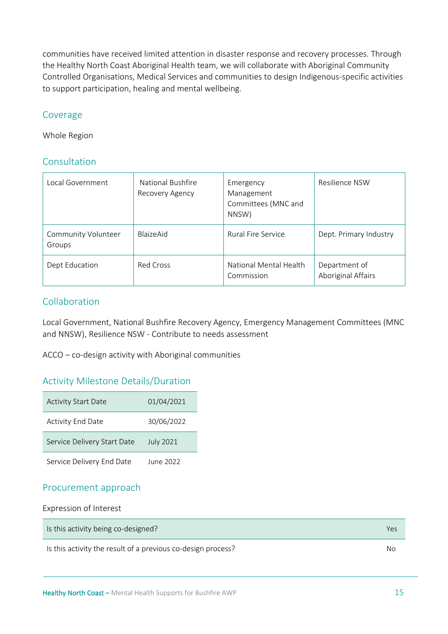communities have received limited attention in disaster response and recovery processes. Through the Healthy North Coast Aboriginal Health team, we will collaborate with Aboriginal Community Controlled Organisations, Medical Services and communities to design Indigenous-specific activities to support participation, healing and mental wellbeing.

#### Coverage

Whole Region

#### Consultation

| Local Government              | National Bushfire<br>Recovery Agency | Emergency<br>Management<br>Committees (MNC and<br>NNSW) | Resilience NSW                      |
|-------------------------------|--------------------------------------|---------------------------------------------------------|-------------------------------------|
| Community Volunteer<br>Groups | <b>BlaizeAid</b>                     | <b>Rural Fire Service</b>                               | Dept. Primary Industry              |
| Dept Education                | Red Cross                            | National Mental Health<br>Commission                    | Department of<br>Aboriginal Affairs |

#### Collaboration

Local Government, National Bushfire Recovery Agency, Emergency Management Committees (MNC and NNSW), Resilience NSW - Contribute to needs assessment

ACCO – co-design activity with Aboriginal communities

#### Activity Milestone Details/Duration

| <b>Activity Start Date</b>  | 01/04/2021       |
|-----------------------------|------------------|
| <b>Activity End Date</b>    | 30/06/2022       |
| Service Delivery Start Date | <b>July 2021</b> |
| Service Delivery End Date   | June 2022        |

#### Procurement approach

Expression of Interest

| Is this activity being co-designed?                          | Yes |
|--------------------------------------------------------------|-----|
| Is this activity the result of a previous co-design process? | No  |